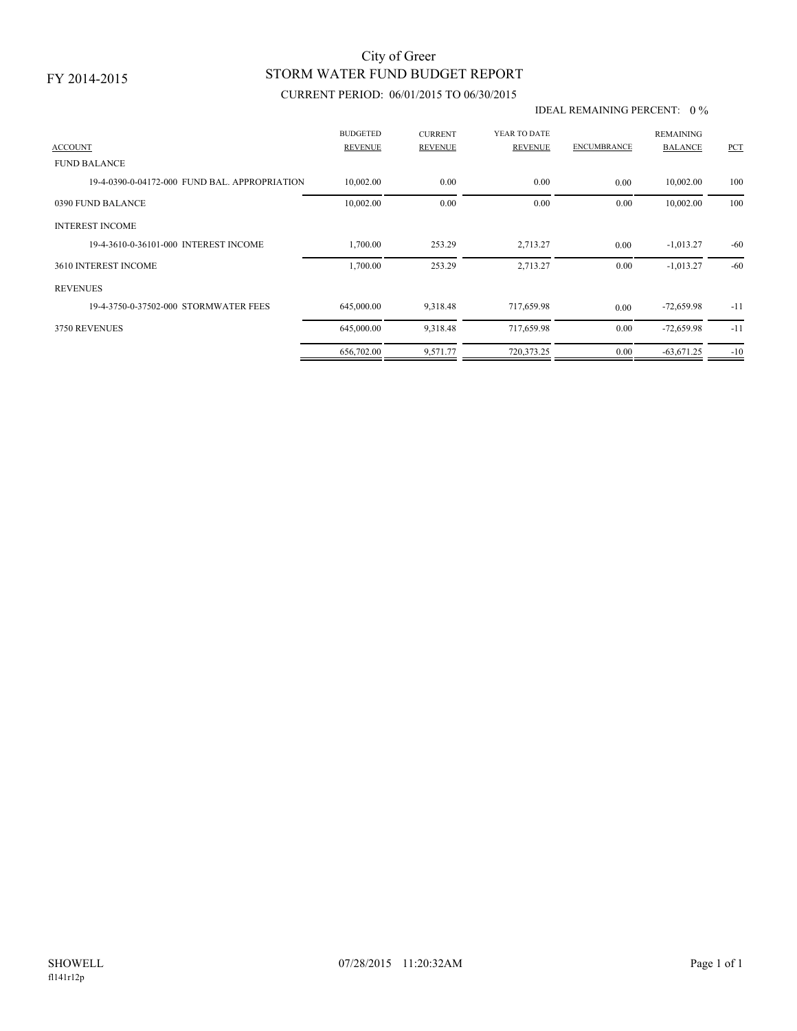## STORM WATER FUND BUDGET REPORT City of Greer

### CURRENT PERIOD: 06/01/2015 TO 06/30/2015

#### IDEAL REMAINING PERCENT: 0 %

| <b>ACCOUNT</b>                                | <b>BUDGETED</b><br><b>REVENUE</b> | <b>CURRENT</b><br><b>REVENUE</b> | YEAR TO DATE<br><b>REVENUE</b> | <b>ENCUMBRANCE</b> | <b>REMAINING</b><br><b>BALANCE</b> | PCT   |
|-----------------------------------------------|-----------------------------------|----------------------------------|--------------------------------|--------------------|------------------------------------|-------|
| <b>FUND BALANCE</b>                           |                                   |                                  |                                |                    |                                    |       |
| 19-4-0390-0-04172-000 FUND BAL, APPROPRIATION | 10,002.00                         | 0.00                             | 0.00                           | 0.00               | 10,002.00                          | 100   |
| 0390 FUND BALANCE                             | 10,002.00                         | 0.00                             | 0.00                           | 0.00               | 10,002.00                          | 100   |
| <b>INTEREST INCOME</b>                        |                                   |                                  |                                |                    |                                    |       |
| 19-4-3610-0-36101-000 INTEREST INCOME         | 1,700.00                          | 253.29                           | 2,713.27                       | 0.00               | $-1,013.27$                        | $-60$ |
| 3610 INTEREST INCOME                          | 1,700.00                          | 253.29                           | 2,713.27                       | 0.00               | $-1,013.27$                        | $-60$ |
| <b>REVENUES</b>                               |                                   |                                  |                                |                    |                                    |       |
| 19-4-3750-0-37502-000 STORMWATER FEES         | 645,000.00                        | 9,318.48                         | 717,659.98                     | 0.00               | $-72,659.98$                       | $-11$ |
| 3750 REVENUES                                 | 645,000.00                        | 9,318.48                         | 717,659.98                     | 0.00               | $-72,659.98$                       | $-11$ |
|                                               | 656,702.00                        | 9,571.77                         | 720,373.25                     | 0.00               | $-63,671.25$                       | $-10$ |